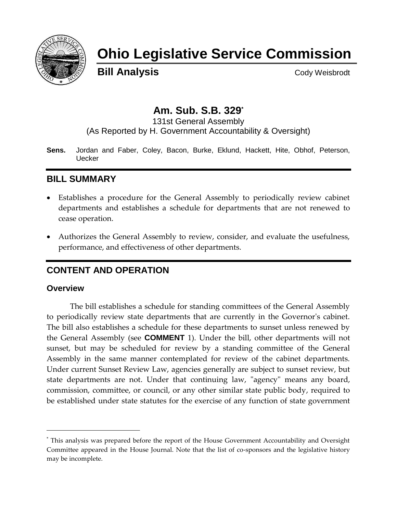

# **Ohio Legislative Service Commission**

**Bill Analysis** Cody Weisbrodt

# **Am. Sub. S.B. 329\***

131st General Assembly (As Reported by H. Government Accountability & Oversight)

**Sens.** Jordan and Faber, Coley, Bacon, Burke, Eklund, Hackett, Hite, Obhof, Peterson, Uecker

## **BILL SUMMARY**

- Establishes a procedure for the General Assembly to periodically review cabinet departments and establishes a schedule for departments that are not renewed to cease operation.
- Authorizes the General Assembly to review, consider, and evaluate the usefulness, performance, and effectiveness of other departments.

# **CONTENT AND OPERATION**

#### **Overview**

l

The bill establishes a schedule for standing committees of the General Assembly to periodically review state departments that are currently in the Governor's cabinet. The bill also establishes a schedule for these departments to sunset unless renewed by the General Assembly (see **COMMENT** 1). Under the bill, other departments will not sunset, but may be scheduled for review by a standing committee of the General Assembly in the same manner contemplated for review of the cabinet departments. Under current Sunset Review Law, agencies generally are subject to sunset review, but state departments are not. Under that continuing law, "agency" means any board, commission, committee, or council, or any other similar state public body, required to be established under state statutes for the exercise of any function of state government

<sup>\*</sup> This analysis was prepared before the report of the House Government Accountability and Oversight Committee appeared in the House Journal. Note that the list of co-sponsors and the legislative history may be incomplete.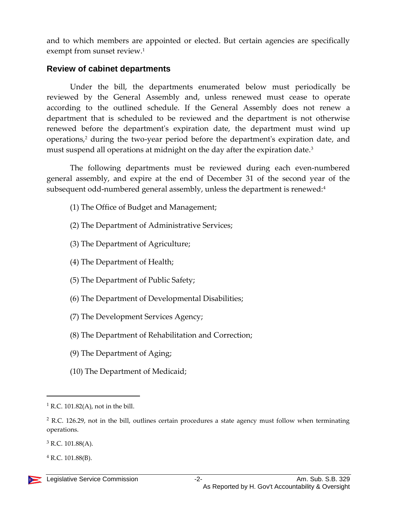and to which members are appointed or elected. But certain agencies are specifically exempt from sunset review. 1

#### **Review of cabinet departments**

Under the bill, the departments enumerated below must periodically be reviewed by the General Assembly and, unless renewed must cease to operate according to the outlined schedule. If the General Assembly does not renew a department that is scheduled to be reviewed and the department is not otherwise renewed before the department's expiration date, the department must wind up operations, <sup>2</sup> during the two-year period before the department's expiration date, and must suspend all operations at midnight on the day after the expiration date.<sup>3</sup>

The following departments must be reviewed during each even-numbered general assembly, and expire at the end of December 31 of the second year of the subsequent odd-numbered general assembly, unless the department is renewed:<sup>4</sup>

- (1) The Office of Budget and Management;
- (2) The Department of Administrative Services;
- (3) The Department of Agriculture;
- (4) The Department of Health;
- (5) The Department of Public Safety;
- (6) The Department of Developmental Disabilities;
- (7) The Development Services Agency;
- (8) The Department of Rehabilitation and Correction;
- (9) The Department of Aging;
- (10) The Department of Medicaid;

 $\overline{a}$ 

 $1$  R.C. 101.82(A), not in the bill.

 $2$  R.C. 126.29, not in the bill, outlines certain procedures a state agency must follow when terminating operations.

<sup>3</sup> R.C. 101.88(A).

 $^{4}$  R.C. 101.88(B).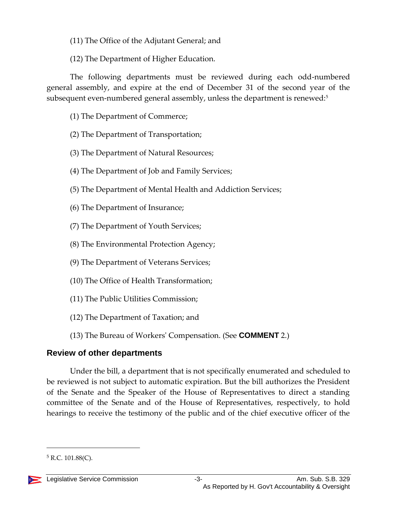- (11) The Office of the Adjutant General; and
- (12) The Department of Higher Education.

The following departments must be reviewed during each odd-numbered general assembly, and expire at the end of December 31 of the second year of the subsequent even-numbered general assembly, unless the department is renewed:<sup>5</sup>

- (1) The Department of Commerce;
- (2) The Department of Transportation;
- (3) The Department of Natural Resources;
- (4) The Department of Job and Family Services;
- (5) The Department of Mental Health and Addiction Services;
- (6) The Department of Insurance;
- (7) The Department of Youth Services;
- (8) The Environmental Protection Agency;
- (9) The Department of Veterans Services;
- (10) The Office of Health Transformation;
- (11) The Public Utilities Commission;
- (12) The Department of Taxation; and
- (13) The Bureau of Workers' Compensation. (See **COMMENT** 2.)

# **Review of other departments**

Under the bill, a department that is not specifically enumerated and scheduled to be reviewed is not subject to automatic expiration. But the bill authorizes the President of the Senate and the Speaker of the House of Representatives to direct a standing committee of the Senate and of the House of Representatives, respectively, to hold hearings to receive the testimony of the public and of the chief executive officer of the

 $5$  R.C. 101.88(C).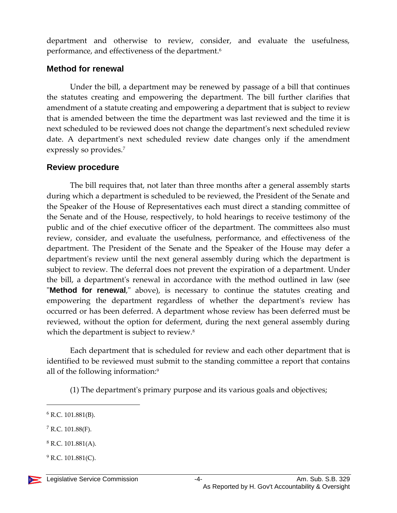department and otherwise to review, consider, and evaluate the usefulness, performance, and effectiveness of the department.<sup>6</sup>

#### **Method for renewal**

Under the bill, a department may be renewed by passage of a bill that continues the statutes creating and empowering the department. The bill further clarifies that amendment of a statute creating and empowering a department that is subject to review that is amended between the time the department was last reviewed and the time it is next scheduled to be reviewed does not change the department's next scheduled review date. A department's next scheduled review date changes only if the amendment expressly so provides.<sup>7</sup>

#### **Review procedure**

The bill requires that, not later than three months after a general assembly starts during which a department is scheduled to be reviewed, the President of the Senate and the Speaker of the House of Representatives each must direct a standing committee of the Senate and of the House, respectively, to hold hearings to receive testimony of the public and of the chief executive officer of the department. The committees also must review, consider, and evaluate the usefulness, performance, and effectiveness of the department. The President of the Senate and the Speaker of the House may defer a department's review until the next general assembly during which the department is subject to review. The deferral does not prevent the expiration of a department. Under the bill, a department's renewal in accordance with the method outlined in law (see "**Method for renewal**," above), is necessary to continue the statutes creating and empowering the department regardless of whether the department's review has occurred or has been deferred. A department whose review has been deferred must be reviewed, without the option for deferment, during the next general assembly during which the department is subject to review.<sup>8</sup>

Each department that is scheduled for review and each other department that is identified to be reviewed must submit to the standing committee a report that contains all of the following information:<sup>9</sup>

(1) The department's primary purpose and its various goals and objectives;

 $\overline{a}$ 

 $7$  R.C. 101.88(F).

 $9$  R.C. 101.881(C).

 $6$  R.C. 101.881(B).

 $8$  R.C. 101.881(A).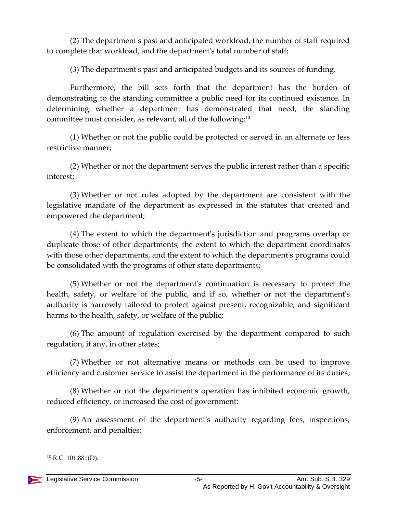(2) The department's past and anticipated workload, the number of staff required to complete that workload, and the department's total number of staff;

(3) The department's past and anticipated budgets and its sources of funding.

Furthermore, the bill sets forth that the department has the burden of demonstrating to the standing committee a public need for its continued existence. In determining whether a department has demonstrated that need, the standing committee must consider, as relevant, all of the following:<sup>10</sup>

(1) Whether or not the public could be protected or served in an alternate or less restrictive manner;

(2) Whether or not the department serves the public interest rather than a specific interest;

(3) Whether or not rules adopted by the department are consistent with the legislative mandate of the department as expressed in the statutes that created and empowered the department;

(4) The extent to which the department's jurisdiction and programs overlap or duplicate those of other departments, the extent to which the department coordinates with those other departments, and the extent to which the department's programs could be consolidated with the programs of other state departments;

(5) Whether or not the department's continuation is necessary to protect the health, safety, or welfare of the public, and if so, whether or not the department's authority is narrowly tailored to protect against present, recognizable, and significant harms to the health, safety, or welfare of the public;

(6) The amount of regulation exercised by the department compared to such regulation, if any, in other states;

(7) Whether or not alternative means or methods can be used to improve efficiency and customer service to assist the department in the performance of its duties;

(8) Whether or not the department's operation has inhibited economic growth, reduced efficiency, or increased the cost of government;

(9) An assessment of the department's authority regarding fees, inspections, enforcement, and penalties;

 $^{10}$  R.C. 101.881(D).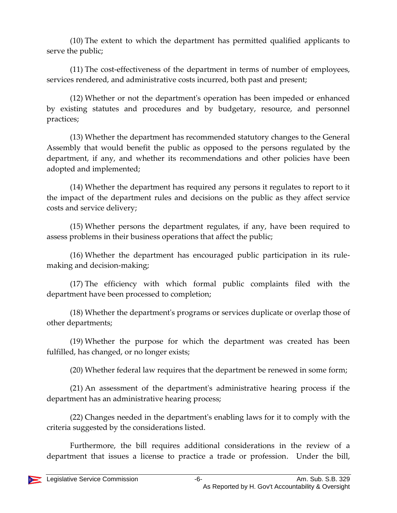(10) The extent to which the department has permitted qualified applicants to serve the public;

(11) The cost-effectiveness of the department in terms of number of employees, services rendered, and administrative costs incurred, both past and present;

(12) Whether or not the department's operation has been impeded or enhanced by existing statutes and procedures and by budgetary, resource, and personnel practices;

(13) Whether the department has recommended statutory changes to the General Assembly that would benefit the public as opposed to the persons regulated by the department, if any, and whether its recommendations and other policies have been adopted and implemented;

(14) Whether the department has required any persons it regulates to report to it the impact of the department rules and decisions on the public as they affect service costs and service delivery;

(15) Whether persons the department regulates, if any, have been required to assess problems in their business operations that affect the public;

(16) Whether the department has encouraged public participation in its rulemaking and decision-making;

(17) The efficiency with which formal public complaints filed with the department have been processed to completion;

(18) Whether the department's programs or services duplicate or overlap those of other departments;

(19) Whether the purpose for which the department was created has been fulfilled, has changed, or no longer exists;

(20) Whether federal law requires that the department be renewed in some form;

(21) An assessment of the department's administrative hearing process if the department has an administrative hearing process;

(22) Changes needed in the department's enabling laws for it to comply with the criteria suggested by the considerations listed.

Furthermore, the bill requires additional considerations in the review of a department that issues a license to practice a trade or profession. Under the bill,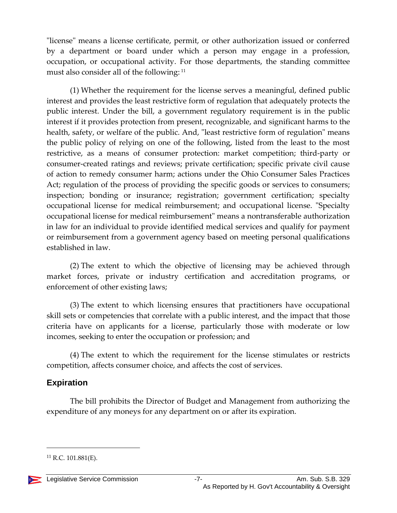"license" means a license certificate, permit, or other authorization issued or conferred by a department or board under which a person may engage in a profession, occupation, or occupational activity. For those departments, the standing committee must also consider all of the following: <sup>11</sup>

(1) Whether the requirement for the license serves a meaningful, defined public interest and provides the least restrictive form of regulation that adequately protects the public interest. Under the bill, a government regulatory requirement is in the public interest if it provides protection from present, recognizable, and significant harms to the health, safety, or welfare of the public. And, "least restrictive form of regulation" means the public policy of relying on one of the following, listed from the least to the most restrictive, as a means of consumer protection: market competition; third-party or consumer-created ratings and reviews; private certification; specific private civil cause of action to remedy consumer harm; actions under the Ohio Consumer Sales Practices Act; regulation of the process of providing the specific goods or services to consumers; inspection; bonding or insurance; registration; government certification; specialty occupational license for medical reimbursement; and occupational license. "Specialty occupational license for medical reimbursement" means a nontransferable authorization in law for an individual to provide identified medical services and qualify for payment or reimbursement from a government agency based on meeting personal qualifications established in law.

(2) The extent to which the objective of licensing may be achieved through market forces, private or industry certification and accreditation programs, or enforcement of other existing laws;

(3) The extent to which licensing ensures that practitioners have occupational skill sets or competencies that correlate with a public interest, and the impact that those criteria have on applicants for a license, particularly those with moderate or low incomes, seeking to enter the occupation or profession; and

(4) The extent to which the requirement for the license stimulates or restricts competition, affects consumer choice, and affects the cost of services.

#### **Expiration**

The bill prohibits the Director of Budget and Management from authorizing the expenditure of any moneys for any department on or after its expiration.

 $^{11}$  R.C. 101.881(E).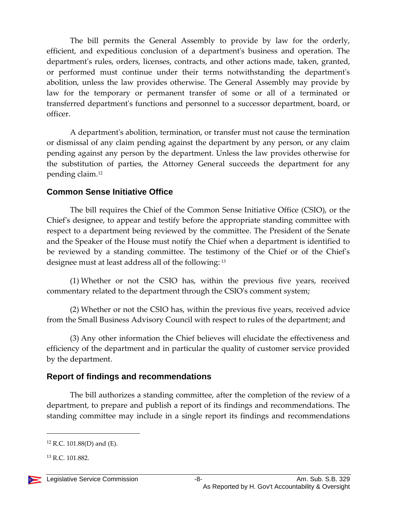The bill permits the General Assembly to provide by law for the orderly, efficient, and expeditious conclusion of a department's business and operation. The department's rules, orders, licenses, contracts, and other actions made, taken, granted, or performed must continue under their terms notwithstanding the department's abolition, unless the law provides otherwise. The General Assembly may provide by law for the temporary or permanent transfer of some or all of a terminated or transferred department's functions and personnel to a successor department, board, or officer.

A department's abolition, termination, or transfer must not cause the termination or dismissal of any claim pending against the department by any person, or any claim pending against any person by the department. Unless the law provides otherwise for the substitution of parties, the Attorney General succeeds the department for any pending claim.<sup>12</sup>

## **Common Sense Initiative Office**

The bill requires the Chief of the Common Sense Initiative Office (CSIO), or the Chief's designee, to appear and testify before the appropriate standing committee with respect to a department being reviewed by the committee. The President of the Senate and the Speaker of the House must notify the Chief when a department is identified to be reviewed by a standing committee. The testimony of the Chief or of the Chief's designee must at least address all of the following: <sup>13</sup>

(1) Whether or not the CSIO has, within the previous five years, received commentary related to the department through the CSIO's comment system;

(2) Whether or not the CSIO has, within the previous five years, received advice from the Small Business Advisory Council with respect to rules of the department; and

(3) Any other information the Chief believes will elucidate the effectiveness and efficiency of the department and in particular the quality of customer service provided by the department.

## **Report of findings and recommendations**

The bill authorizes a standing committee, after the completion of the review of a department, to prepare and publish a report of its findings and recommendations. The standing committee may include in a single report its findings and recommendations

 $12$  R.C. 101.88(D) and (E).

<sup>13</sup> R.C. 101.882.